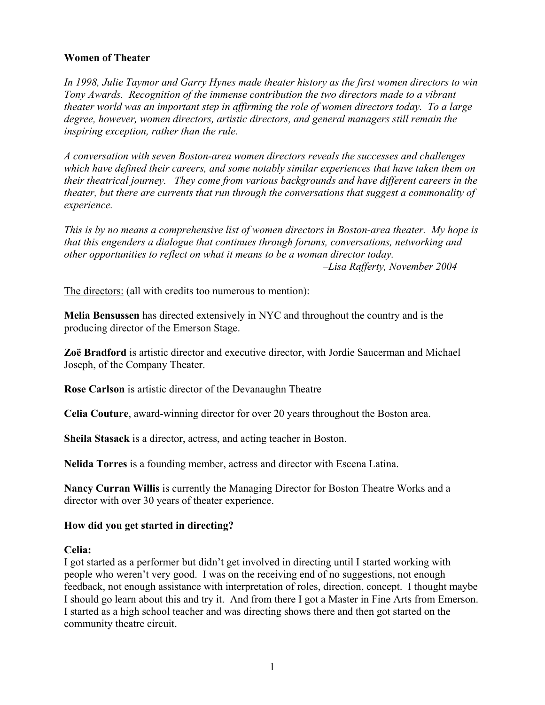#### **Women of Theater**

*In 1998, Julie Taymor and Garry Hynes made theater history as the first women directors to win Tony Awards. Recognition of the immense contribution the two directors made to a vibrant theater world was an important step in affirming the role of women directors today. To a large degree, however, women directors, artistic directors, and general managers still remain the inspiring exception, rather than the rule.* 

*A conversation with seven Boston-area women directors reveals the successes and challenges which have defined their careers, and some notably similar experiences that have taken them on their theatrical journey. They come from various backgrounds and have different careers in the theater, but there are currents that run through the conversations that suggest a commonality of experience.* 

*This is by no means a comprehensive list of women directors in Boston-area theater. My hope is that this engenders a dialogue that continues through forums, conversations, networking and other opportunities to reflect on what it means to be a woman director today. –Lisa Rafferty, November 2004* 

The directors: (all with credits too numerous to mention):

**Melia Bensussen** has directed extensively in NYC and throughout the country and is the producing director of the Emerson Stage.

**Zoë Bradford** is artistic director and executive director, with Jordie Saucerman and Michael Joseph, of the Company Theater.

**Rose Carlson** is artistic director of the Devanaughn Theatre

**Celia Couture**, award-winning director for over 20 years throughout the Boston area.

**Sheila Stasack** is a director, actress, and acting teacher in Boston.

**Nelida Torres** is a founding member, actress and director with Escena Latina.

**Nancy Curran Willis** is currently the Managing Director for Boston Theatre Works and a director with over 30 years of theater experience.

#### **How did you get started in directing?**

#### **Celia:**

I got started as a performer but didn't get involved in directing until I started working with people who weren't very good. I was on the receiving end of no suggestions, not enough feedback, not enough assistance with interpretation of roles, direction, concept. I thought maybe I should go learn about this and try it. And from there I got a Master in Fine Arts from Emerson. I started as a high school teacher and was directing shows there and then got started on the community theatre circuit.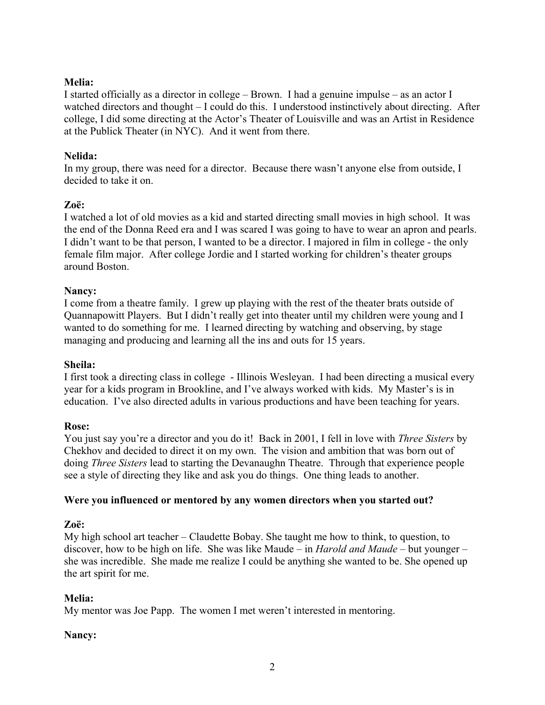### **Melia:**

I started officially as a director in college – Brown. I had a genuine impulse – as an actor I watched directors and thought – I could do this. I understood instinctively about directing. After college, I did some directing at the Actor's Theater of Louisville and was an Artist in Residence at the Publick Theater (in NYC). And it went from there.

#### **Nelida:**

In my group, there was need for a director. Because there wasn't anyone else from outside, I decided to take it on.

#### **Zoë:**

I watched a lot of old movies as a kid and started directing small movies in high school. It was the end of the Donna Reed era and I was scared I was going to have to wear an apron and pearls. I didn't want to be that person, I wanted to be a director. I majored in film in college - the only female film major. After college Jordie and I started working for children's theater groups around Boston.

#### **Nancy:**

I come from a theatre family. I grew up playing with the rest of the theater brats outside of Quannapowitt Players. But I didn't really get into theater until my children were young and I wanted to do something for me. I learned directing by watching and observing, by stage managing and producing and learning all the ins and outs for 15 years.

#### **Sheila:**

I first took a directing class in college - Illinois Wesleyan. I had been directing a musical every year for a kids program in Brookline, and I've always worked with kids. My Master's is in education. I've also directed adults in various productions and have been teaching for years.

#### **Rose:**

You just say you're a director and you do it! Back in 2001, I fell in love with *Three Sisters* by Chekhov and decided to direct it on my own. The vision and ambition that was born out of doing *Three Sisters* lead to starting the Devanaughn Theatre. Through that experience people see a style of directing they like and ask you do things. One thing leads to another.

#### **Were you influenced or mentored by any women directors when you started out?**

### **Zoë:**

My high school art teacher – Claudette Bobay. She taught me how to think, to question, to discover, how to be high on life. She was like Maude – in *Harold and Maude* – but younger – she was incredible. She made me realize I could be anything she wanted to be. She opened up the art spirit for me.

### **Melia:**

My mentor was Joe Papp. The women I met weren't interested in mentoring.

### **Nancy:**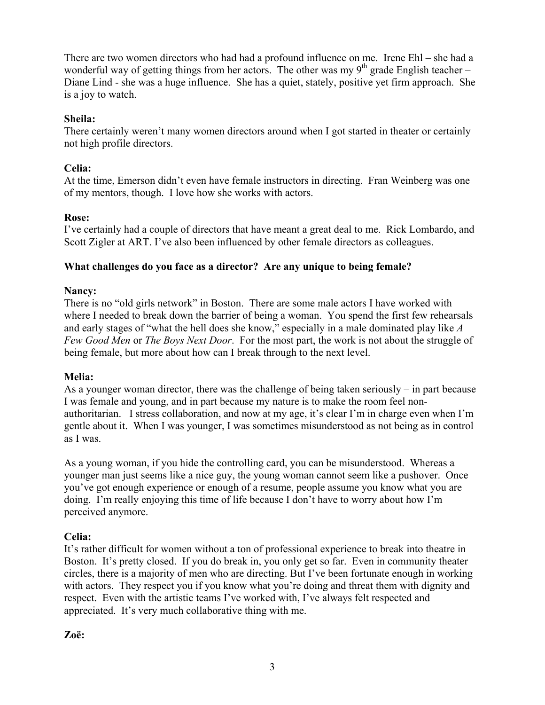There are two women directors who had had a profound influence on me. Irene Ehl – she had a wonderful way of getting things from her actors. The other was my  $9<sup>th</sup>$  grade English teacher – Diane Lind - she was a huge influence. She has a quiet, stately, positive yet firm approach. She is a joy to watch.

#### **Sheila:**

There certainly weren't many women directors around when I got started in theater or certainly not high profile directors.

#### **Celia:**

At the time, Emerson didn't even have female instructors in directing. Fran Weinberg was one of my mentors, though. I love how she works with actors.

#### **Rose:**

I've certainly had a couple of directors that have meant a great deal to me. Rick Lombardo, and Scott Zigler at ART. I've also been influenced by other female directors as colleagues.

#### **What challenges do you face as a director? Are any unique to being female?**

#### **Nancy:**

There is no "old girls network" in Boston. There are some male actors I have worked with where I needed to break down the barrier of being a woman. You spend the first few rehearsals and early stages of "what the hell does she know," especially in a male dominated play like *A Few Good Men* or *The Boys Next Door*. For the most part, the work is not about the struggle of being female, but more about how can I break through to the next level.

### **Melia:**

As a younger woman director, there was the challenge of being taken seriously – in part because I was female and young, and in part because my nature is to make the room feel nonauthoritarian. I stress collaboration, and now at my age, it's clear I'm in charge even when I'm gentle about it. When I was younger, I was sometimes misunderstood as not being as in control as I was.

As a young woman, if you hide the controlling card, you can be misunderstood. Whereas a younger man just seems like a nice guy, the young woman cannot seem like a pushover. Once you've got enough experience or enough of a resume, people assume you know what you are doing. I'm really enjoying this time of life because I don't have to worry about how I'm perceived anymore.

### **Celia:**

It's rather difficult for women without a ton of professional experience to break into theatre in Boston. It's pretty closed. If you do break in, you only get so far. Even in community theater circles, there is a majority of men who are directing. But I've been fortunate enough in working with actors. They respect you if you know what you're doing and threat them with dignity and respect. Even with the artistic teams I've worked with, I've always felt respected and appreciated. It's very much collaborative thing with me.

#### **Zoë:**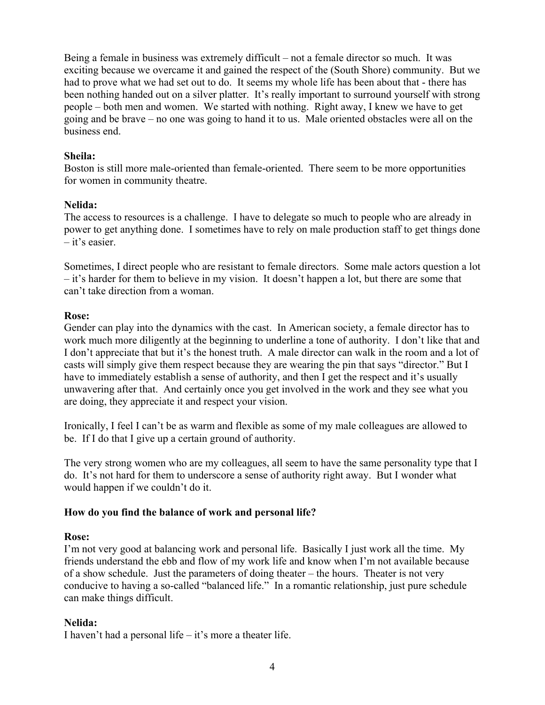Being a female in business was extremely difficult – not a female director so much. It was exciting because we overcame it and gained the respect of the (South Shore) community. But we had to prove what we had set out to do. It seems my whole life has been about that - there has been nothing handed out on a silver platter. It's really important to surround yourself with strong people – both men and women. We started with nothing. Right away, I knew we have to get going and be brave – no one was going to hand it to us. Male oriented obstacles were all on the business end.

#### **Sheila:**

Boston is still more male-oriented than female-oriented. There seem to be more opportunities for women in community theatre.

#### **Nelida:**

The access to resources is a challenge. I have to delegate so much to people who are already in power to get anything done. I sometimes have to rely on male production staff to get things done – it's easier.

Sometimes, I direct people who are resistant to female directors. Some male actors question a lot – it's harder for them to believe in my vision. It doesn't happen a lot, but there are some that can't take direction from a woman.

#### **Rose:**

Gender can play into the dynamics with the cast. In American society, a female director has to work much more diligently at the beginning to underline a tone of authority. I don't like that and I don't appreciate that but it's the honest truth. A male director can walk in the room and a lot of casts will simply give them respect because they are wearing the pin that says "director." But I have to immediately establish a sense of authority, and then I get the respect and it's usually unwavering after that. And certainly once you get involved in the work and they see what you are doing, they appreciate it and respect your vision.

Ironically, I feel I can't be as warm and flexible as some of my male colleagues are allowed to be. If I do that I give up a certain ground of authority.

The very strong women who are my colleagues, all seem to have the same personality type that I do. It's not hard for them to underscore a sense of authority right away. But I wonder what would happen if we couldn't do it.

### **How do you find the balance of work and personal life?**

### **Rose:**

I'm not very good at balancing work and personal life. Basically I just work all the time. My friends understand the ebb and flow of my work life and know when I'm not available because of a show schedule. Just the parameters of doing theater – the hours. Theater is not very conducive to having a so-called "balanced life." In a romantic relationship, just pure schedule can make things difficult.

### **Nelida:**

I haven't had a personal life  $-$  it's more a theater life.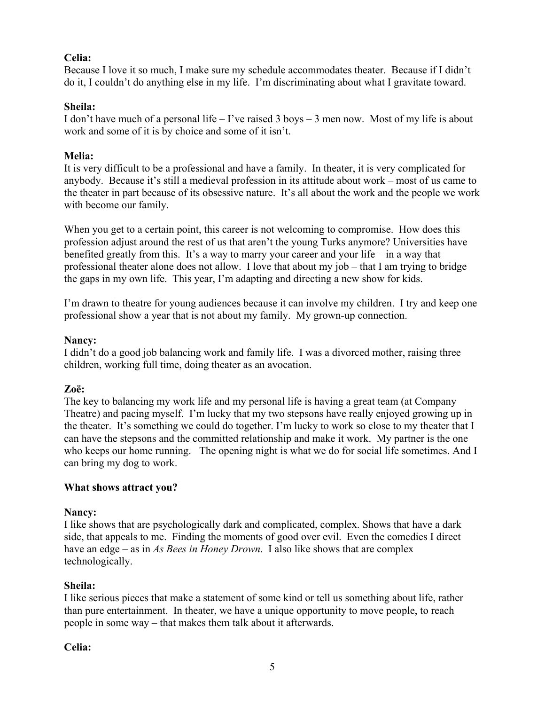### **Celia:**

Because I love it so much, I make sure my schedule accommodates theater. Because if I didn't do it, I couldn't do anything else in my life. I'm discriminating about what I gravitate toward.

### **Sheila:**

I don't have much of a personal life – I've raised 3 boys – 3 men now. Most of my life is about work and some of it is by choice and some of it isn't.

### **Melia:**

It is very difficult to be a professional and have a family. In theater, it is very complicated for anybody. Because it's still a medieval profession in its attitude about work – most of us came to the theater in part because of its obsessive nature. It's all about the work and the people we work with become our family.

When you get to a certain point, this career is not welcoming to compromise. How does this profession adjust around the rest of us that aren't the young Turks anymore? Universities have benefited greatly from this. It's a way to marry your career and your life – in a way that professional theater alone does not allow. I love that about my job – that I am trying to bridge the gaps in my own life. This year, I'm adapting and directing a new show for kids.

I'm drawn to theatre for young audiences because it can involve my children. I try and keep one professional show a year that is not about my family. My grown-up connection.

### **Nancy:**

I didn't do a good job balancing work and family life. I was a divorced mother, raising three children, working full time, doing theater as an avocation.

# **Zoë:**

The key to balancing my work life and my personal life is having a great team (at Company Theatre) and pacing myself. I'm lucky that my two stepsons have really enjoyed growing up in the theater. It's something we could do together. I'm lucky to work so close to my theater that I can have the stepsons and the committed relationship and make it work. My partner is the one who keeps our home running. The opening night is what we do for social life sometimes. And I can bring my dog to work.

# **What shows attract you?**

# **Nancy:**

I like shows that are psychologically dark and complicated, complex. Shows that have a dark side, that appeals to me. Finding the moments of good over evil. Even the comedies I direct have an edge – as in *As Bees in Honey Drown*. I also like shows that are complex technologically.

# **Sheila:**

I like serious pieces that make a statement of some kind or tell us something about life, rather than pure entertainment. In theater, we have a unique opportunity to move people, to reach people in some way – that makes them talk about it afterwards.

### **Celia:**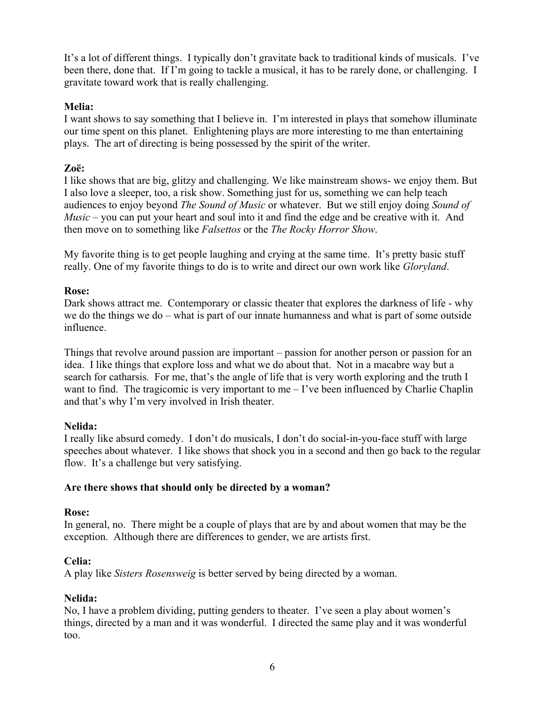It's a lot of different things. I typically don't gravitate back to traditional kinds of musicals. I've been there, done that. If I'm going to tackle a musical, it has to be rarely done, or challenging. I gravitate toward work that is really challenging.

### **Melia:**

I want shows to say something that I believe in. I'm interested in plays that somehow illuminate our time spent on this planet. Enlightening plays are more interesting to me than entertaining plays. The art of directing is being possessed by the spirit of the writer.

### **Zoë:**

I like shows that are big, glitzy and challenging. We like mainstream shows- we enjoy them. But I also love a sleeper, too, a risk show. Something just for us, something we can help teach audiences to enjoy beyond *The Sound of Music* or whatever. But we still enjoy doing *Sound of Music* – you can put your heart and soul into it and find the edge and be creative with it. And then move on to something like *Falsettos* or the *The Rocky Horror Show*.

My favorite thing is to get people laughing and crying at the same time. It's pretty basic stuff really. One of my favorite things to do is to write and direct our own work like *Gloryland*.

### **Rose:**

Dark shows attract me. Contemporary or classic theater that explores the darkness of life - why we do the things we do – what is part of our innate humanness and what is part of some outside influence.

Things that revolve around passion are important – passion for another person or passion for an idea. I like things that explore loss and what we do about that. Not in a macabre way but a search for catharsis. For me, that's the angle of life that is very worth exploring and the truth I want to find. The tragicomic is very important to me  $-I$ 've been influenced by Charlie Chaplin and that's why I'm very involved in Irish theater.

### **Nelida:**

I really like absurd comedy. I don't do musicals, I don't do social-in-you-face stuff with large speeches about whatever. I like shows that shock you in a second and then go back to the regular flow. It's a challenge but very satisfying.

### **Are there shows that should only be directed by a woman?**

### **Rose:**

In general, no. There might be a couple of plays that are by and about women that may be the exception. Although there are differences to gender, we are artists first.

### **Celia:**

A play like *Sisters Rosensweig* is better served by being directed by a woman.

### **Nelida:**

No, I have a problem dividing, putting genders to theater. I've seen a play about women's things, directed by a man and it was wonderful. I directed the same play and it was wonderful too.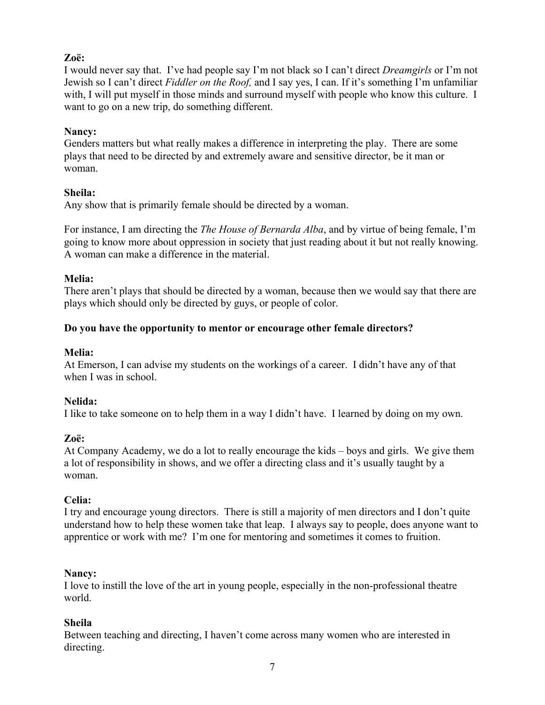# **Zoë:**

I would never say that. I've had people say I'm not black so I can't direct *Dreamgirls* or I'm not Jewish so I can't direct *Fiddler on the Roof,* and I say yes, I can. If it's something I'm unfamiliar with, I will put myself in those minds and surround myself with people who know this culture. I want to go on a new trip, do something different.

### **Nancy:**

Genders matters but what really makes a difference in interpreting the play. There are some plays that need to be directed by and extremely aware and sensitive director, be it man or woman.

### **Sheila:**

Any show that is primarily female should be directed by a woman.

For instance, I am directing the *The House of Bernarda Alba*, and by virtue of being female, I'm going to know more about oppression in society that just reading about it but not really knowing. A woman can make a difference in the material.

# **Melia:**

There aren't plays that should be directed by a woman, because then we would say that there are plays which should only be directed by guys, or people of color.

### **Do you have the opportunity to mentor or encourage other female directors?**

### **Melia:**

At Emerson, I can advise my students on the workings of a career. I didn't have any of that when I was in school.

# **Nelida:**

I like to take someone on to help them in a way I didn't have. I learned by doing on my own.

# **Zoë:**

At Company Academy, we do a lot to really encourage the kids – boys and girls. We give them a lot of responsibility in shows, and we offer a directing class and it's usually taught by a woman.

# **Celia:**

I try and encourage young directors. There is still a majority of men directors and I don't quite understand how to help these women take that leap. I always say to people, does anyone want to apprentice or work with me? I'm one for mentoring and sometimes it comes to fruition.

### **Nancy:**

I love to instill the love of the art in young people, especially in the non-professional theatre world.

# **Sheila**

Between teaching and directing, I haven't come across many women who are interested in directing.